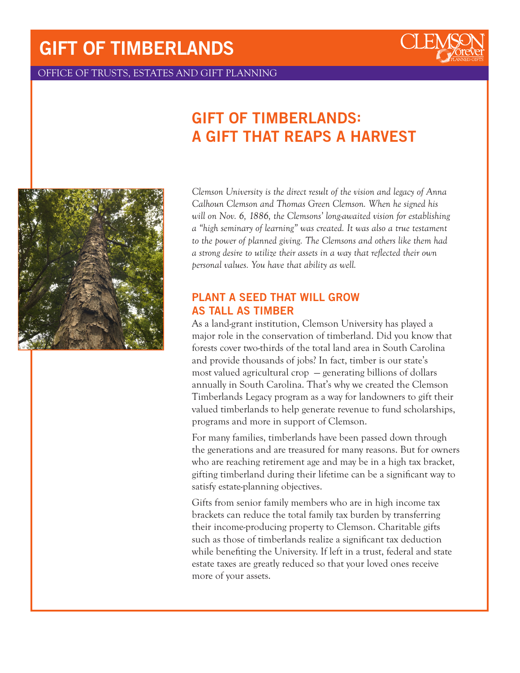# GIFT OF TIMBERLANDS



OFFICE OF TRUSTS, ESTATES AND GIFT PLANNING

## GIFT OF TIMBERLANDS: A GIFT THAT REAPS A HARVEST



*Clemson University is the direct result of the vision and legacy of Anna Calhoun Clemson and Thomas Green Clemson. When he signed his will on Nov. 6, 1886, the Clemsons' long-awaited vision for establishing a "high seminary of learning" was created. It was also a true testament to the power of planned giving. The Clemsons and others like them had a strong desire to utilize their assets in a way that reflected their own personal values. You have that ability as well.*

### PLANT A SEED THAT WILL GROW AS TALL AS TIMBER

As a land-grant institution, Clemson University has played a major role in the conservation of timberland. Did you know that forests cover two-thirds of the total land area in South Carolina and provide thousands of jobs? In fact, timber is our state's most valued agricultural crop — generating billions of dollars annually in South Carolina. That's why we created the Clemson Timberlands Legacy program as a way for landowners to gift their valued timberlands to help generate revenue to fund scholarships, programs and more in support of Clemson.

For many families, timberlands have been passed down through the generations and are treasured for many reasons. But for owners who are reaching retirement age and may be in a high tax bracket, gifting timberland during their lifetime can be a significant way to satisfy estate-planning objectives.

Gifts from senior family members who are in high income tax brackets can reduce the total family tax burden by transferring their income-producing property to Clemson. Charitable gifts such as those of timberlands realize a significant tax deduction while benefiting the University. If left in a trust, federal and state estate taxes are greatly reduced so that your loved ones receive more of your assets.